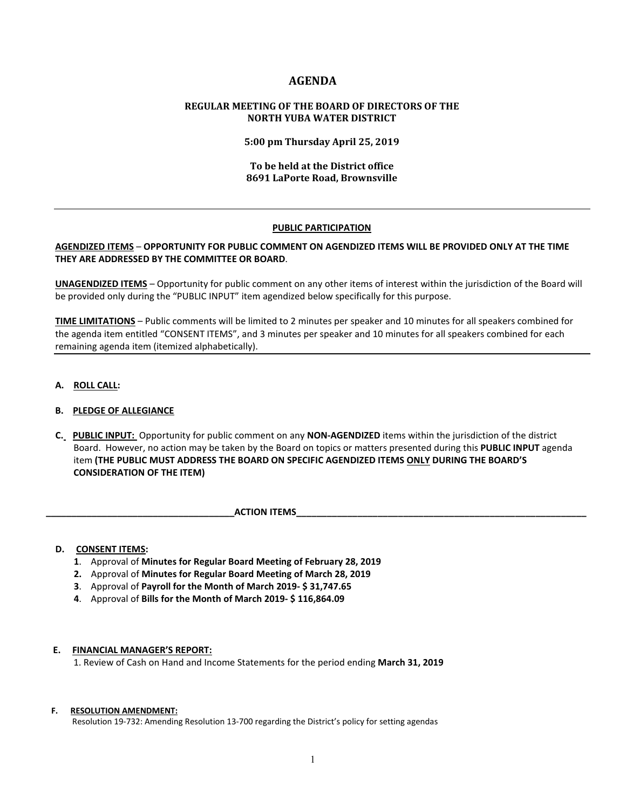# **AGENDA**

## **REGULAR MEETING OF THE BOARD OF DIRECTORS OF THE NORTH YUBA WATER DISTRICT**

**5:00 pm Thursday April 25, 2019**

## **To be held at the District office 8691 LaPorte Road, Brownsville**

## **PUBLIC PARTICIPATION**

## **AGENDIZED ITEMS** – **OPPORTUNITY FOR PUBLIC COMMENT ON AGENDIZED ITEMS WILL BE PROVIDED ONLY AT THE TIME THEY ARE ADDRESSED BY THE COMMITTEE OR BOARD**.

**UNAGENDIZED ITEMS** – Opportunity for public comment on any other items of interest within the jurisdiction of the Board will be provided only during the "PUBLIC INPUT" item agendized below specifically for this purpose.

**TIME LIMITATIONS** – Public comments will be limited to 2 minutes per speaker and 10 minutes for all speakers combined for the agenda item entitled "CONSENT ITEMS", and 3 minutes per speaker and 10 minutes for all speakers combined for each remaining agenda item (itemized alphabetically).

**A. ROLL CALL:** 

## **B. PLEDGE OF ALLEGIANCE**

 **C. PUBLIC INPUT:** Opportunity for public comment on any **NON-AGENDIZED** items within the jurisdiction of the district Board. However, no action may be taken by the Board on topics or matters presented during this **PUBLIC INPUT** agenda item **(THE PUBLIC MUST ADDRESS THE BOARD ON SPECIFIC AGENDIZED ITEMS ONLY DURING THE BOARD'S CONSIDERATION OF THE ITEM)**

**ACTION ITEMS** 

#### **D. CONSENT ITEMS:**

- **1**. Approval of **Minutes for Regular Board Meeting of February 28, 2019**
- **2.** Approval of **Minutes for Regular Board Meeting of March 28, 2019**
- **3**. Approval of **Payroll for the Month of March 2019- \$ 31,747.65**
- **4**. Approval of **Bills for the Month of March 2019- \$ 116,864.09**

#### **E. FINANCIAL MANAGER'S REPORT:**

1. Review of Cash on Hand and Income Statements for the period ending **March 31, 2019**

#### **F. RESOLUTION AMENDMENT:**

Resolution 19-732: Amending Resolution 13-700 regarding the District's policy for setting agendas